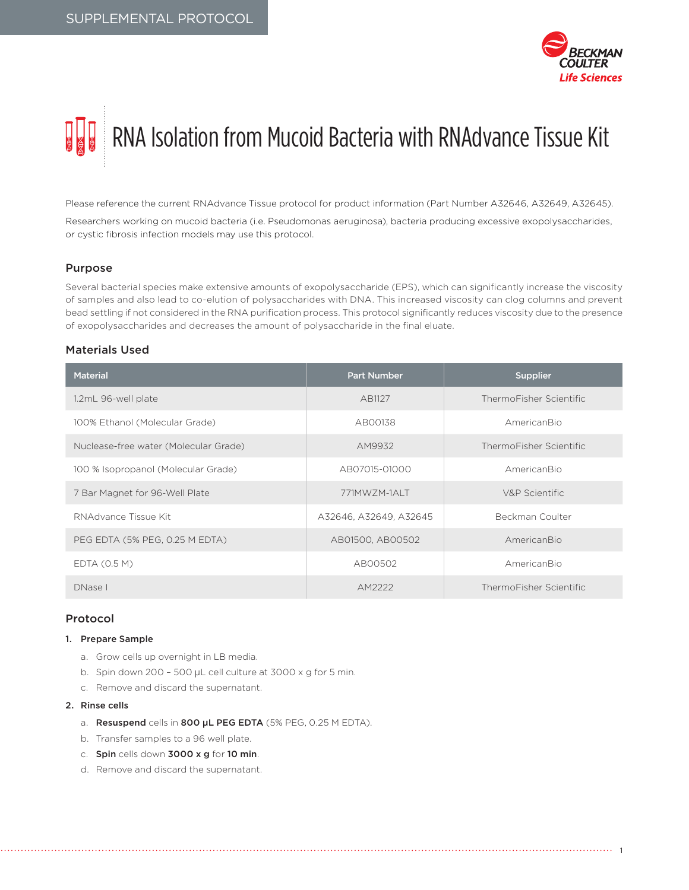

# RNA Isolation from Mucoid Bacteria with RNAdvance Tissue Kit

Please reference the current RNAdvance Tissue protocol for product information (Part Number A32646, A32649, A32645).

Researchers working on mucoid bacteria (i.e. Pseudomonas aeruginosa), bacteria producing excessive exopolysaccharides, or cystic fibrosis infection models may use this protocol.

# Purpose

Several bacterial species make extensive amounts of exopolysaccharide (EPS), which can significantly increase the viscosity of samples and also lead to co-elution of polysaccharides with DNA. This increased viscosity can clog columns and prevent bead settling if not considered in the RNA purification process. This protocol significantly reduces viscosity due to the presence of exopolysaccharides and decreases the amount of polysaccharide in the final eluate.

# Materials Used

| <b>Material</b>                       | <b>Part Number</b>     | <b>Supplier</b>         |  |
|---------------------------------------|------------------------|-------------------------|--|
| 1.2mL 96-well plate                   | AB1127                 | ThermoFisher Scientific |  |
| 100% Ethanol (Molecular Grade)        | AB00138                | AmericanBio             |  |
| Nuclease-free water (Molecular Grade) | AM9932                 | ThermoFisher Scientific |  |
| 100 % Isopropanol (Molecular Grade)   | AB07015-01000          | AmericanBio             |  |
| 7 Bar Magnet for 96-Well Plate        | 771MW7M-1ALT           | V&P Scientific          |  |
| RNAdvance Tissue Kit                  | A32646, A32649, A32645 | Beckman Coulter         |  |
| PEG EDTA (5% PEG, 0.25 M EDTA)        | AB01500, AB00502       | AmericanBio             |  |
| EDTA (0.5 M)                          | AB00502                | AmericanBio             |  |
| DNase I                               | AM2222                 | ThermoFisher Scientific |  |

# Protocol

# 1. Prepare Sample

- a. Grow cells up overnight in LB media.
- b. Spin down 200 500 µL cell culture at 3000 x g for 5 min.
- c. Remove and discard the supernatant.

# 2. Rinse cells

- a. Resuspend cells in 800 **µ**L PEG EDTA (5% PEG, 0.25 M EDTA).
- b. Transfer samples to a 96 well plate.
- c. Spin cells down 3000 x g for 10 min.
- d. Remove and discard the supernatant.

1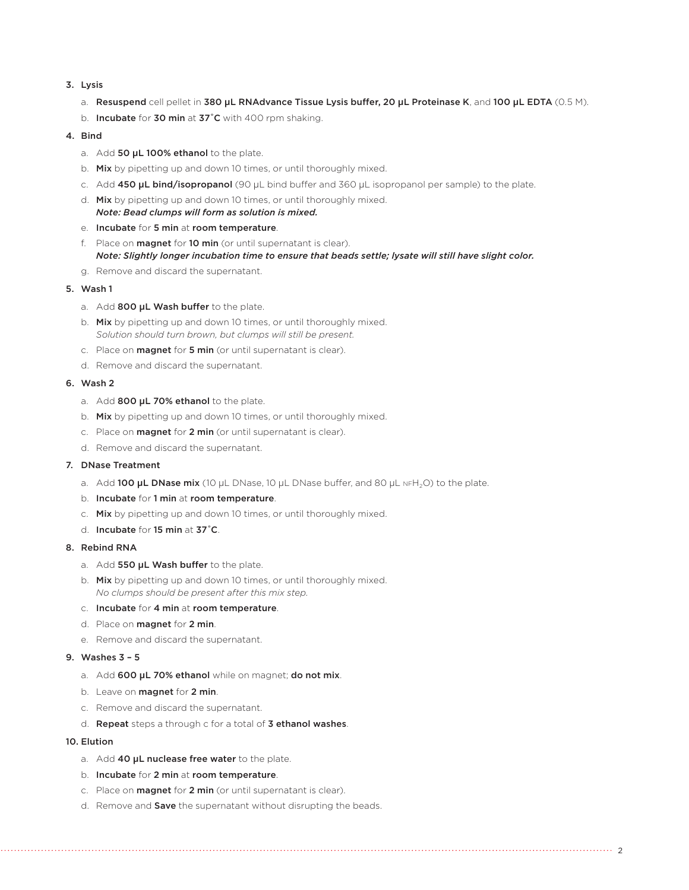# 3. Lysis

- a. Resuspend cell pellet in 380 **µ**L RNAdvance Tissue Lysis buffer, 20 **µ**L Proteinase K, and 100 **µ**L EDTA (0.5 M).
- b. Incubate for 30 min at 37°C with 400 rpm shaking.

# 4. Bind

- a. Add 50 **µ**L 100% ethanol to the plate.
- b. Mix by pipetting up and down 10 times, or until thoroughly mixed.
- c. Add 450 **µ**L bind/isopropanol (90 µL bind buffer and 360 µL isopropanol per sample) to the plate.
- d. Mix by pipetting up and down 10 times, or until thoroughly mixed. *Note: Bead clumps will form as solution is mixed.*
- e. Incubate for 5 min at room temperature.
- f. Place on **magnet** for 10 min (or until supernatant is clear). *Note: Slightly longer incubation time to ensure that beads settle; lysate will still have slight color.*
- g. Remove and discard the supernatant.

#### 5. Wash 1

- a. Add 800 **µ**L Wash buffer to the plate.
- b. Mix by pipetting up and down 10 times, or until thoroughly mixed. *Solution should turn brown, but clumps will still be present.*
- c. Place on magnet for 5 min (or until supernatant is clear).
- d. Remove and discard the supernatant.

### 6. Wash 2

- a. Add 800 **µ**L 70% ethanol to the plate.
- b. Mix by pipetting up and down 10 times, or until thoroughly mixed.
- c. Place on **magnet** for 2 min (or until supernatant is clear).
- d. Remove and discard the supernatant.

# 7. DNase Treatment

- a. Add 100 µL DNase mix (10 µL DNase, 10 µL DNase buffer, and 80 µL NFH<sub>2</sub>O) to the plate.
- b. Incubate for 1 min at room temperature.
- c. Mix by pipetting up and down 10 times, or until thoroughly mixed.
- d. Incubate for 15 min at 37˚C.

# 8. Rebind RNA

- a. Add 550 **µ**L Wash buffer to the plate.
- b. Mix by pipetting up and down 10 times, or until thoroughly mixed. *No clumps should be present after this mix step.*
- c. Incubate for 4 min at room temperature.
- d. Place on magnet for 2 min.
- e. Remove and discard the supernatant.

#### 9. Washes 3 – 5

- a. Add 600 **µ**L 70% ethanol while on magnet; do not mix.
- b. Leave on **magnet** for 2 min.
- c. Remove and discard the supernatant.
- d. Repeat steps a through c for a total of 3 ethanol washes.

# 10. Elution

- a. Add 40 **µ**L nuclease free water to the plate.
- b. Incubate for 2 min at room temperature.
- c. Place on **magnet** for 2 min (or until supernatant is clear).
- d. Remove and **Save** the supernatant without disrupting the beads.

2